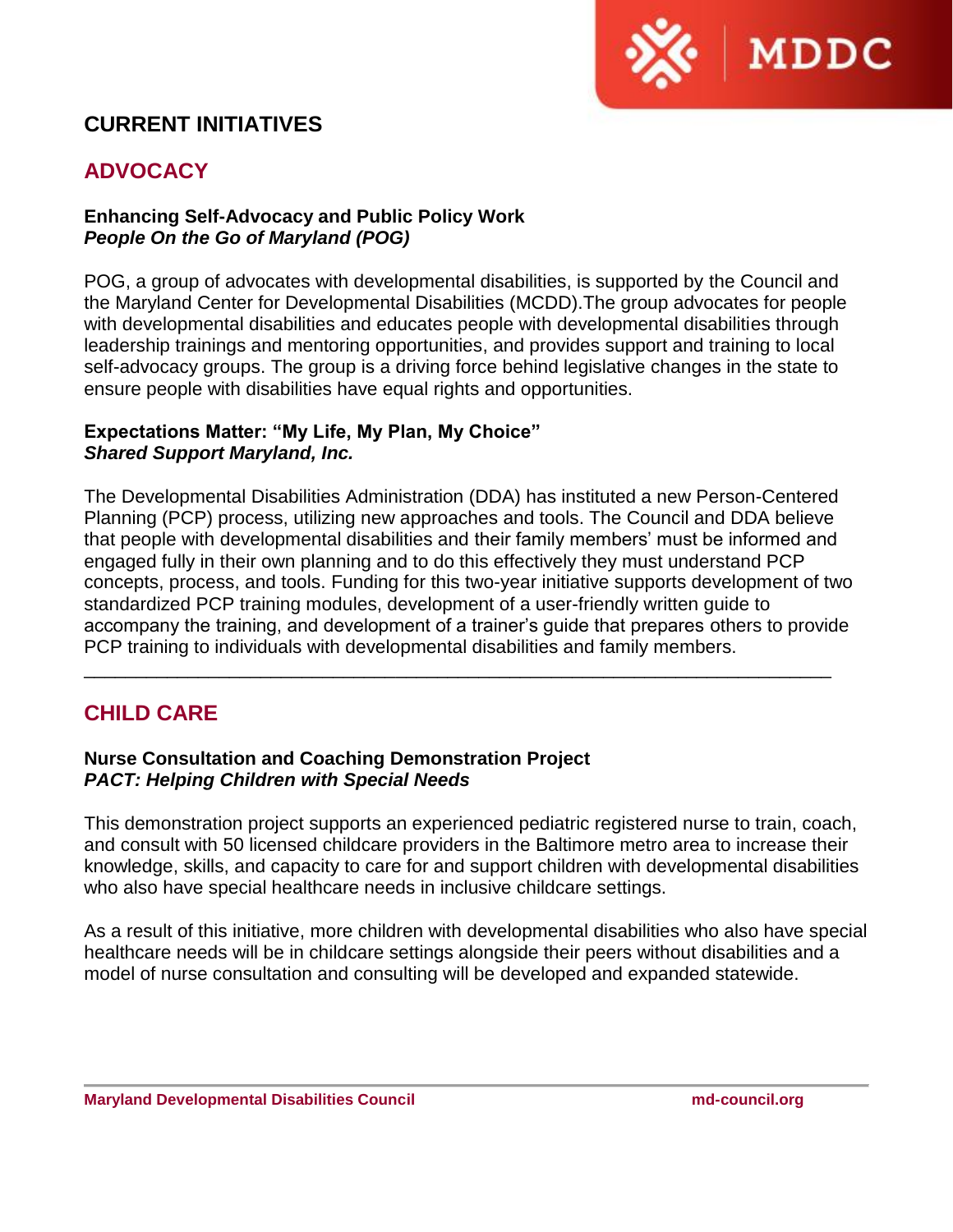

# **CURRENT INITIATIVES**

# **ADVOCACY**

# **Enhancing Self-Advocacy and Public Policy Work** *People On the Go of Maryland (POG)*

POG, a group of advocates with developmental disabilities, is supported by the Council and the Maryland Center for Developmental Disabilities (MCDD).The group advocates for people with developmental disabilities and educates people with developmental disabilities through leadership trainings and mentoring opportunities, and provides support and training to local self-advocacy groups. The group is a driving force behind legislative changes in the state to ensure people with disabilities have equal rights and opportunities.

#### **Expectations Matter: "My Life, My Plan, My Choice"** *Shared Support Maryland, Inc.*

The Developmental Disabilities Administration (DDA) has instituted a new Person-Centered Planning (PCP) process, utilizing new approaches and tools. The Council and DDA believe that people with developmental disabilities and their family members' must be informed and engaged fully in their own planning and to do this effectively they must understand PCP concepts, process, and tools. Funding for this two-year initiative supports development of two standardized PCP training modules, development of a user-friendly written guide to accompany the training, and development of a trainer's guide that prepares others to provide PCP training to individuals with developmental disabilities and family members.

\_\_\_\_\_\_\_\_\_\_\_\_\_\_\_\_\_\_\_\_\_\_\_\_\_\_\_\_\_\_\_\_\_\_\_\_\_\_\_\_\_\_\_\_\_\_\_\_\_\_\_\_\_\_\_\_\_\_\_\_\_\_\_\_\_\_\_\_\_\_\_\_

# **CHILD CARE**

#### **Nurse Consultation and Coaching Demonstration Project** *PACT: Helping Children with Special Needs*

This demonstration project supports an experienced pediatric registered nurse to train, coach, and consult with 50 licensed childcare providers in the Baltimore metro area to increase their knowledge, skills, and capacity to care for and support children with developmental disabilities who also have special healthcare needs in inclusive childcare settings.

As a result of this initiative, more children with developmental disabilities who also have special healthcare needs will be in childcare settings alongside their peers without disabilities and a model of nurse consultation and consulting will be developed and expanded statewide.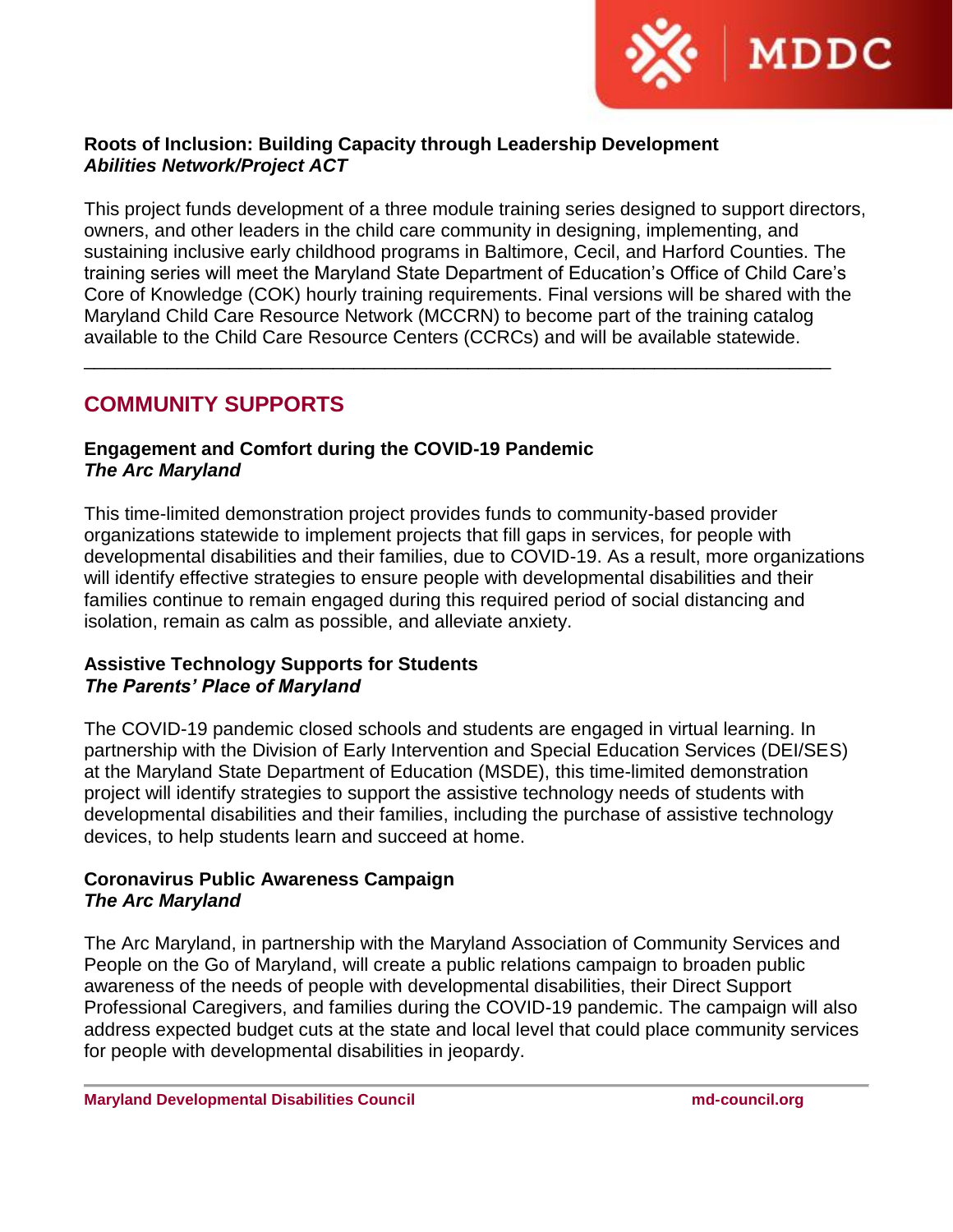

# **Roots of Inclusion: Building Capacity through Leadership Development** *Abilities Network/Project ACT*

This project funds development of a three module training series designed to support directors, owners, and other leaders in the child care community in designing, implementing, and sustaining inclusive early childhood programs in Baltimore, Cecil, and Harford Counties. The training series will meet the Maryland State Department of Education's Office of Child Care's Core of Knowledge (COK) hourly training requirements. Final versions will be shared with the Maryland Child Care Resource Network (MCCRN) to become part of the training catalog available to the Child Care Resource Centers (CCRCs) and will be available statewide.

\_\_\_\_\_\_\_\_\_\_\_\_\_\_\_\_\_\_\_\_\_\_\_\_\_\_\_\_\_\_\_\_\_\_\_\_\_\_\_\_\_\_\_\_\_\_\_\_\_\_\_\_\_\_\_\_\_\_\_\_\_\_\_\_\_\_\_\_\_\_\_\_

# **COMMUNITY SUPPORTS**

# **Engagement and Comfort during the COVID-19 Pandemic** *The Arc Maryland*

This time-limited demonstration project provides funds to community-based provider organizations statewide to implement projects that fill gaps in services, for people with developmental disabilities and their families, due to COVID-19. As a result, more organizations will identify effective strategies to ensure people with developmental disabilities and their families continue to remain engaged during this required period of social distancing and isolation, remain as calm as possible, and alleviate anxiety.

# **Assistive Technology Supports for Students** *The Parents' Place of Maryland*

The COVID-19 pandemic closed schools and students are engaged in virtual learning. In partnership with the Division of Early Intervention and Special Education Services (DEI/SES) at the Maryland State Department of Education (MSDE), this time-limited demonstration project will identify strategies to support the assistive technology needs of students with developmental disabilities and their families, including the purchase of assistive technology devices, to help students learn and succeed at home.

# **Coronavirus Public Awareness Campaign** *The Arc Maryland*

The Arc Maryland, in partnership with the Maryland Association of Community Services and People on the Go of Maryland, will create a public relations campaign to broaden public awareness of the needs of people with developmental disabilities, their Direct Support Professional Caregivers, and families during the COVID-19 pandemic. The campaign will also address expected budget cuts at the state and local level that could place community services for people with developmental disabilities in jeopardy.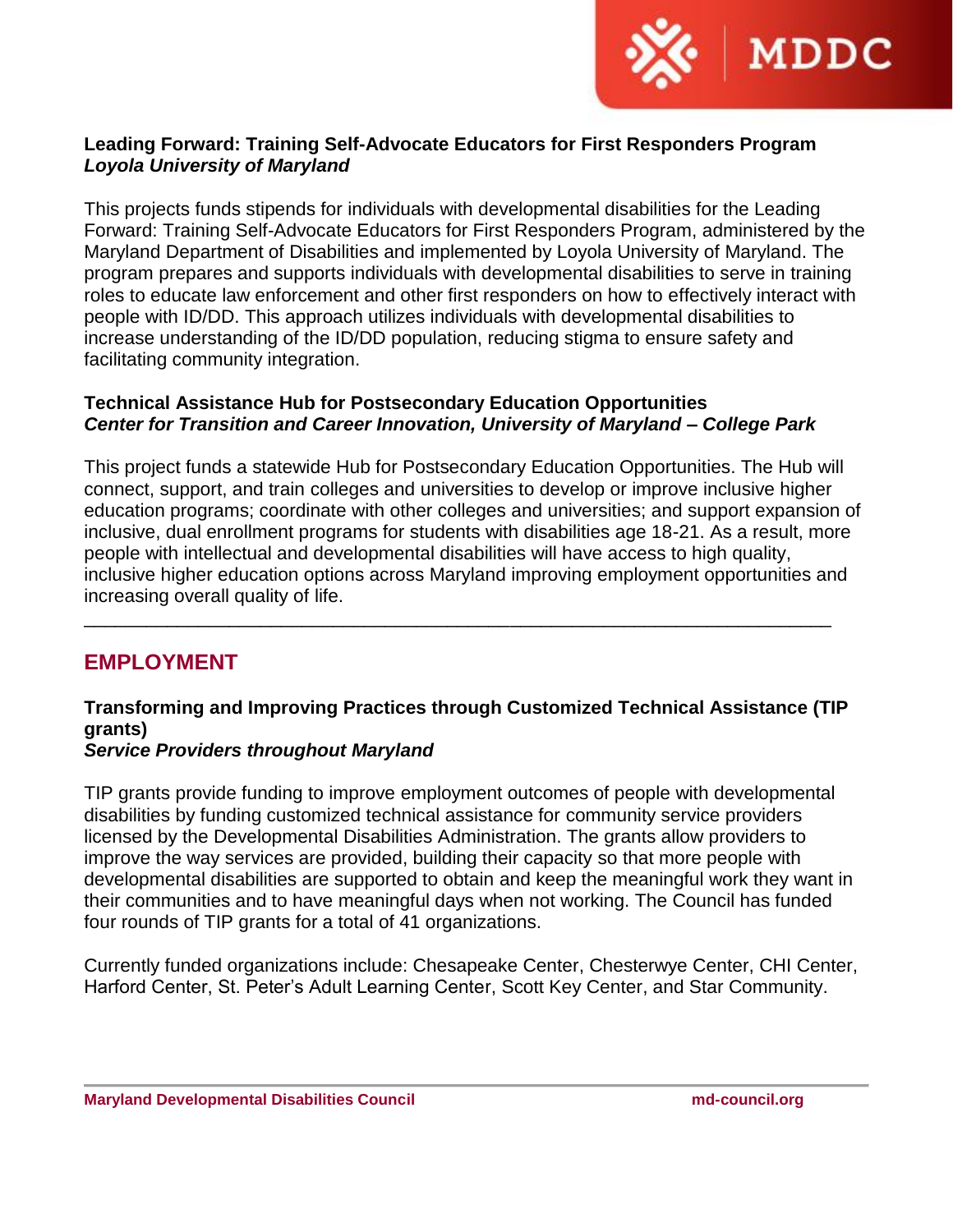

# **Leading Forward: Training Self-Advocate Educators for First Responders Program** *Loyola University of Maryland*

This projects funds stipends for individuals with developmental disabilities for the Leading Forward: Training Self-Advocate Educators for First Responders Program, administered by the Maryland Department of Disabilities and implemented by Loyola University of Maryland. The program prepares and supports individuals with developmental disabilities to serve in training roles to educate law enforcement and other first responders on how to effectively interact with people with ID/DD. This approach utilizes individuals with developmental disabilities to increase understanding of the ID/DD population, reducing stigma to ensure safety and facilitating community integration.

# **Technical Assistance Hub for Postsecondary Education Opportunities** *Center for Transition and Career Innovation, University of Maryland – College Park*

This project funds a statewide Hub for Postsecondary Education Opportunities. The Hub will connect, support, and train colleges and universities to develop or improve inclusive higher education programs; coordinate with other colleges and universities; and support expansion of inclusive, dual enrollment programs for students with disabilities age 18-21. As a result, more people with intellectual and developmental disabilities will have access to high quality, inclusive higher education options across Maryland improving employment opportunities and increasing overall quality of life.

# **EMPLOYMENT**

# **Transforming and Improving Practices through Customized Technical Assistance (TIP grants)**

\_\_\_\_\_\_\_\_\_\_\_\_\_\_\_\_\_\_\_\_\_\_\_\_\_\_\_\_\_\_\_\_\_\_\_\_\_\_\_\_\_\_\_\_\_\_\_\_\_\_\_\_\_\_\_\_\_\_\_\_\_\_\_\_\_\_\_\_\_\_\_\_

# *Service Providers throughout Maryland*

TIP grants provide funding to improve employment outcomes of people with developmental disabilities by funding customized technical assistance for community service providers licensed by the Developmental Disabilities Administration. The grants allow providers to improve the way services are provided, building their capacity so that more people with developmental disabilities are supported to obtain and keep the meaningful work they want in their communities and to have meaningful days when not working. The Council has funded four rounds of TIP grants for a total of 41 organizations.

Currently funded organizations include: Chesapeake Center, Chesterwye Center, CHI Center, Harford Center, St. Peter's Adult Learning Center, Scott Key Center, and Star Community.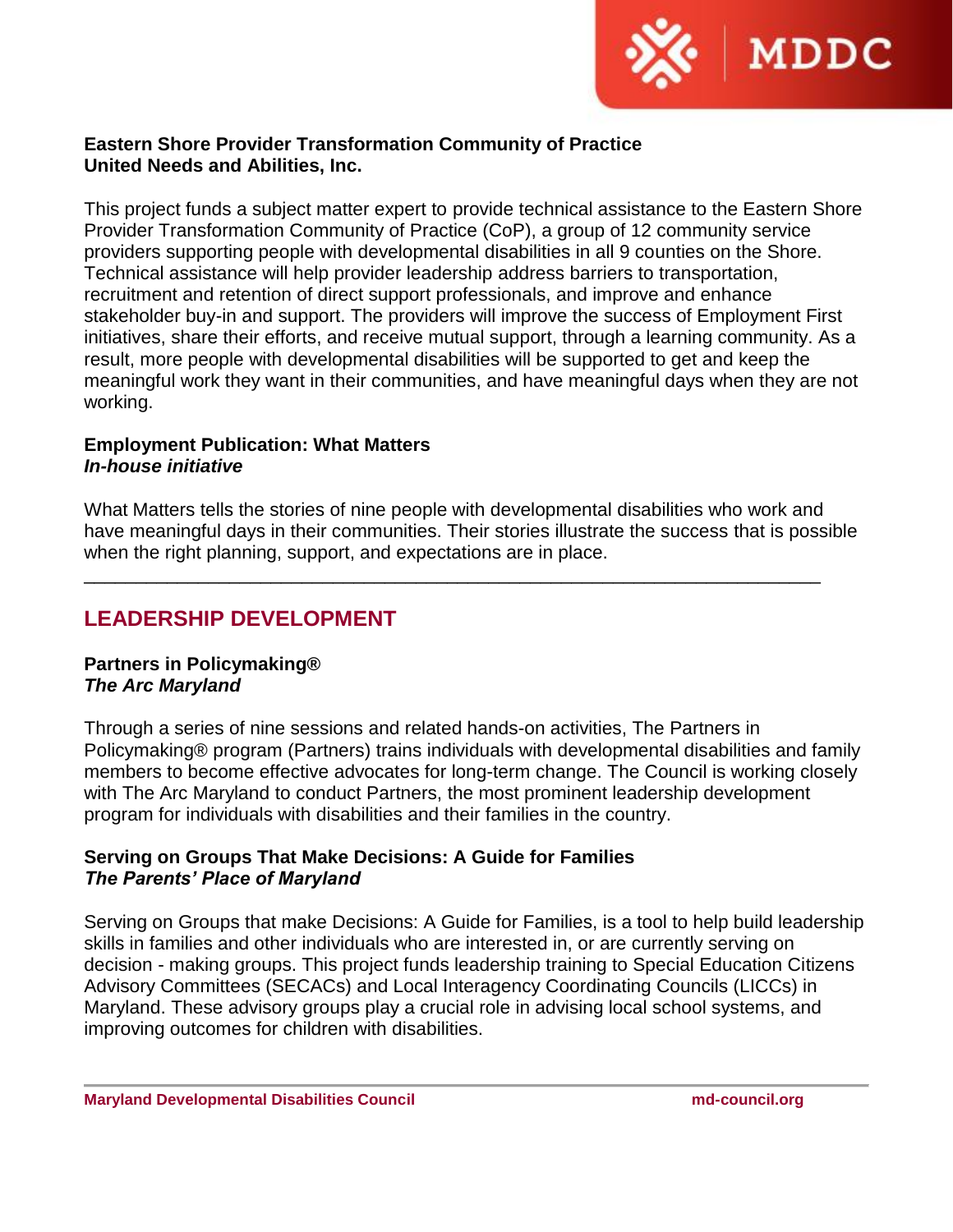

## **Eastern Shore Provider Transformation Community of Practice United Needs and Abilities, Inc.**

This project funds a subject matter expert to provide technical assistance to the Eastern Shore Provider Transformation Community of Practice (CoP), a group of 12 community service providers supporting people with developmental disabilities in all 9 counties on the Shore. Technical assistance will help provider leadership address barriers to transportation, recruitment and retention of direct support professionals, and improve and enhance stakeholder buy-in and support. The providers will improve the success of Employment First initiatives, share their efforts, and receive mutual support, through a learning community. As a result, more people with developmental disabilities will be supported to get and keep the meaningful work they want in their communities, and have meaningful days when they are not working.

#### **Employment Publication: What Matters**  *In-house initiative*

What Matters tells the stories of nine people with developmental disabilities who work and have meaningful days in their communities. Their stories illustrate the success that is possible when the right planning, support, and expectations are in place.

\_\_\_\_\_\_\_\_\_\_\_\_\_\_\_\_\_\_\_\_\_\_\_\_\_\_\_\_\_\_\_\_\_\_\_\_\_\_\_\_\_\_\_\_\_\_\_\_\_\_\_\_\_\_\_\_\_\_\_\_\_\_\_\_\_\_\_\_\_\_\_

# **LEADERSHIP DEVELOPMENT**

# **Partners in Policymaking®** *The Arc Maryland*

Through a series of nine sessions and related hands-on activities, The Partners in Policymaking® program (Partners) trains individuals with developmental disabilities and family members to become effective advocates for long-term change. The Council is working closely with The Arc Maryland to conduct Partners, the most prominent leadership development program for individuals with disabilities and their families in the country.

# **Serving on Groups That Make Decisions: A Guide for Families** *The Parents' Place of Maryland*

Serving on Groups that make Decisions: A Guide for Families, is a tool to help build leadership skills in families and other individuals who are interested in, or are currently serving on decision - making groups. This project funds leadership training to Special Education Citizens Advisory Committees (SECACs) and Local Interagency Coordinating Councils (LICCs) in Maryland. These advisory groups play a crucial role in advising local school systems, and improving outcomes for children with disabilities.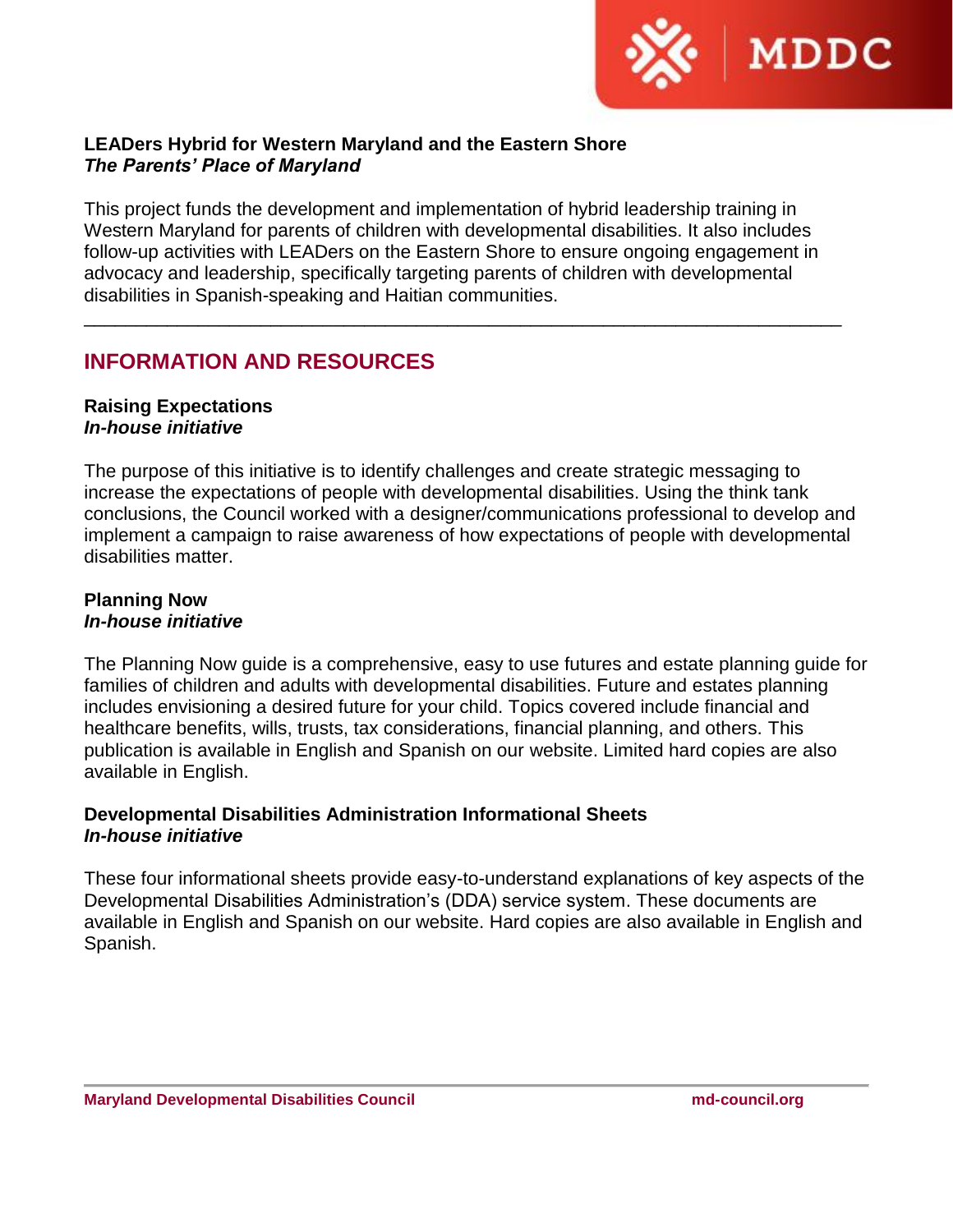

# **LEADers Hybrid for Western Maryland and the Eastern Shore** *The Parents' Place of Maryland*

This project funds the development and implementation of hybrid leadership training in Western Maryland for parents of children with developmental disabilities. It also includes follow-up activities with LEADers on the Eastern Shore to ensure ongoing engagement in advocacy and leadership, specifically targeting parents of children with developmental disabilities in Spanish-speaking and Haitian communities.

\_\_\_\_\_\_\_\_\_\_\_\_\_\_\_\_\_\_\_\_\_\_\_\_\_\_\_\_\_\_\_\_\_\_\_\_\_\_\_\_\_\_\_\_\_\_\_\_\_\_\_\_\_\_\_\_\_\_\_\_\_\_\_\_\_\_\_\_\_\_\_\_\_

# **INFORMATION AND RESOURCES**

#### **Raising Expectations** *In-house initiative*

The purpose of this initiative is to identify challenges and create strategic messaging to increase the expectations of people with developmental disabilities. Using the think tank conclusions, the Council worked with a designer/communications professional to develop and implement a campaign to raise awareness of how expectations of people with developmental disabilities matter.

# **Planning Now** *In-house initiative*

The Planning Now guide is a comprehensive, easy to use futures and estate planning guide for families of children and adults with developmental disabilities. Future and estates planning includes envisioning a desired future for your child. Topics covered include financial and healthcare benefits, wills, trusts, tax considerations, financial planning, and others. This publication is available in English and Spanish on our website. Limited hard copies are also available in English.

# **Developmental Disabilities Administration Informational Sheets** *In-house initiative*

These four informational sheets provide easy-to-understand explanations of key aspects of the Developmental Disabilities Administration's (DDA) service system. These documents are available in English and Spanish on our website. Hard copies are also available in English and Spanish.